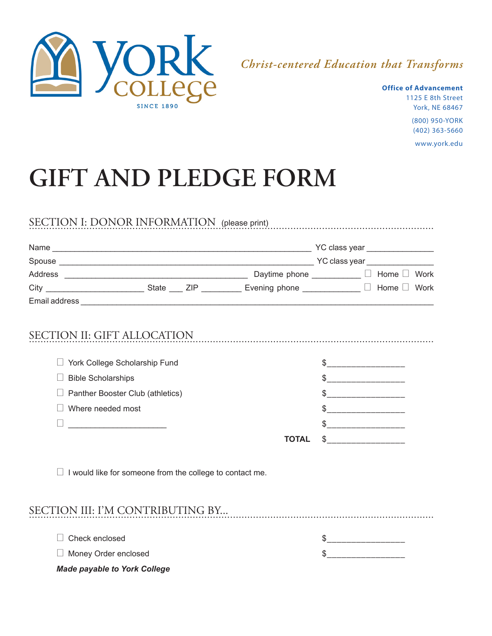

## *Christ-centered Education that Transforms*

**Office of Advancement** 1125 E 8th Street York, NE 68467 (800) 950-YORK (402) 363-5660 www.york.edu

## **GIFT AND PLEDGE FORM**

|                                  |                                                                 | City ______________________________State _____ ZIP _____________ Evening phone ______________ □ Home □ Work |                                                        |  |  |
|----------------------------------|-----------------------------------------------------------------|-------------------------------------------------------------------------------------------------------------|--------------------------------------------------------|--|--|
|                                  |                                                                 |                                                                                                             |                                                        |  |  |
|                                  |                                                                 | SECTION II: GIFT ALLOCATION                                                                                 |                                                        |  |  |
|                                  | □ York College Scholarship Fund                                 |                                                                                                             | $\begin{array}{c} \updownarrow \\[-2.0mm] \end{array}$ |  |  |
| <b>Bible Scholarships</b>        |                                                                 |                                                                                                             | $\frac{1}{2}$                                          |  |  |
|                                  | Panther Booster Club (athletics)                                |                                                                                                             | $\frac{1}{2}$                                          |  |  |
| Where needed most                |                                                                 |                                                                                                             |                                                        |  |  |
|                                  |                                                                 |                                                                                                             |                                                        |  |  |
|                                  |                                                                 | <b>TOTAL</b>                                                                                                | $S$ ____________________                               |  |  |
|                                  | $\Box$ I would like for someone from the college to contact me. |                                                                                                             |                                                        |  |  |
| SECTION III: I'M CONTRIBUTING BY |                                                                 |                                                                                                             |                                                        |  |  |
| Check enclosed                   |                                                                 |                                                                                                             | \$______________________                               |  |  |
|                                  |                                                                 |                                                                                                             |                                                        |  |  |